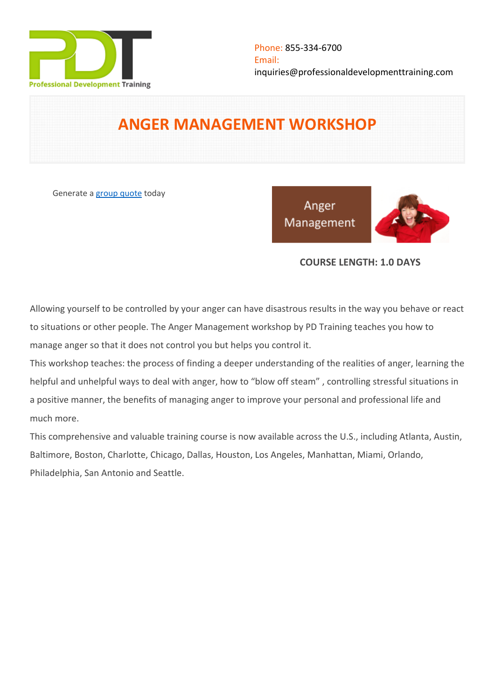

# **ANGER MANAGEMENT WORKSHOP**

Generate a [group quote](https://professionaldevelopmenttraining.com/inhouse-training-quote?cse=PDT0002) today

Anger Management



# **COURSE LENGTH: 1.0 DAYS**

Allowing yourself to be controlled by your anger can have disastrous results in the way you behave or react to situations or other people. The Anger Management workshop by PD Training teaches you how to manage anger so that it does not control you but helps you control it.

This workshop teaches: the process of finding a deeper understanding of the realities of anger, learning the helpful and unhelpful ways to deal with anger, how to "blow off steam" , controlling stressful situations in a positive manner, the benefits of managing anger to improve your personal and professional life and much more.

This comprehensive and valuable training course is now available across the U.S., including Atlanta, Austin, Baltimore, Boston, Charlotte, Chicago, Dallas, Houston, Los Angeles, Manhattan, Miami, Orlando, Philadelphia, San Antonio and Seattle.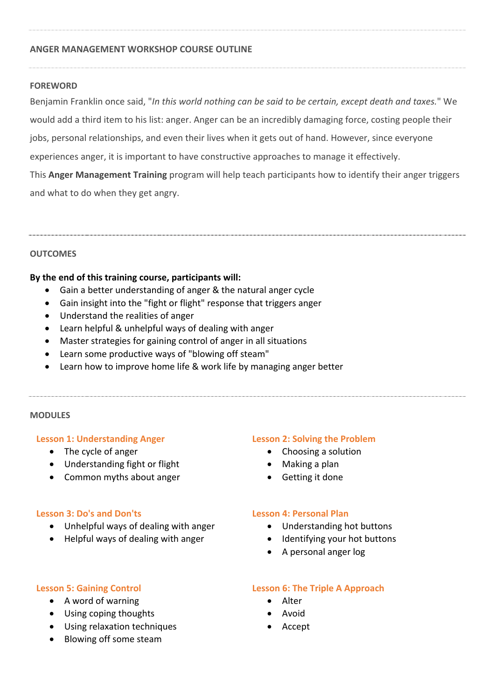#### **ANGER MANAGEMENT WORKSHOP COURSE OUTLINE**

#### **FOREWORD**

Benjamin Franklin once said, "*In this world nothing can be said to be certain, except death and taxes.*" We would add a third item to his list: anger. Anger can be an incredibly damaging force, costing people their jobs, personal relationships, and even their lives when it gets out of hand. However, since everyone experiences anger, it is important to have constructive approaches to manage it effectively. This **Anger Management Training** program will help teach participants how to identify their anger triggers and what to do when they get angry.

#### **OUTCOMES**

#### **By the end of this training course, participants will:**

- Gain a better understanding of anger & the natural anger cycle
- Gain insight into the "fight or flight" response that triggers anger
- Understand the realities of anger
- Learn helpful & unhelpful ways of dealing with anger
- Master strategies for gaining control of anger in all situations
- Learn some productive ways of "blowing off steam"
- Learn how to improve home life & work life by managing anger better

#### **MODULES**

#### **Lesson 1: Understanding Anger**

- The cycle of anger
- Understanding fight or flight
- Common myths about anger

- Choosing a solution
- Making a plan
- Getting it done

#### **Lesson 3: Do's and Don'ts**

- Unhelpful ways of dealing with anger
- Helpful ways of dealing with anger

#### **Lesson 2: Solving the Problem**

- 
- 
- 

#### **Lesson 4: Personal Plan**

- Understanding hot buttons
- Identifying your hot buttons
- A personal anger log

#### **Lesson 5: Gaining Control**

- A word of warning
- Using coping thoughts
- Using relaxation techniques
- Blowing off some steam

# **Lesson 6: The Triple A Approach**

- Alter
- Avoid
- Accept